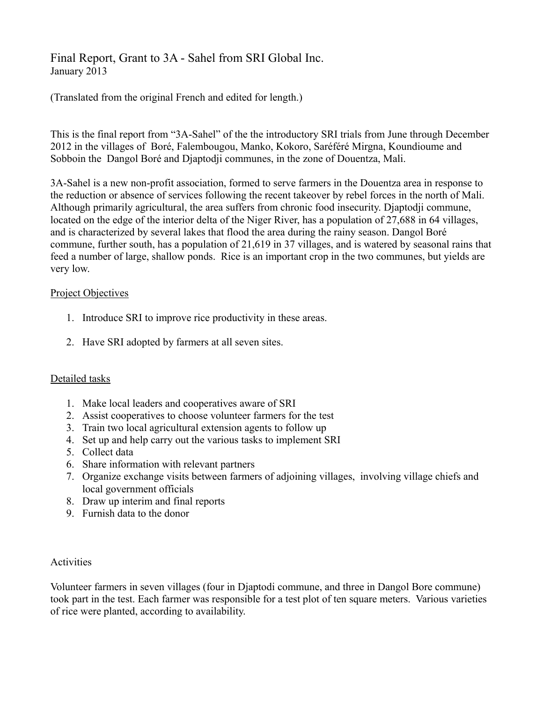# Final Report, Grant to 3A - Sahel from SRI Global Inc. January 2013

(Translated from the original French and edited for length.)

This is the final report from "3A-Sahel" of the the introductory SRI trials from June through December 2012 in the villages of Boré, Falembougou, Manko, Kokoro, Saréféré Mirgna, Koundioume and Sobboin the Dangol Boré and Djaptodji communes, in the zone of Douentza, Mali.

3A-Sahel is a new non-profit association, formed to serve farmers in the Douentza area in response to the reduction or absence of services following the recent takeover by rebel forces in the north of Mali. Although primarily agricultural, the area suffers from chronic food insecurity. Djaptodji commune, located on the edge of the interior delta of the Niger River, has a population of 27,688 in 64 villages, and is characterized by several lakes that flood the area during the rainy season. Dangol Boré commune, further south, has a population of 21,619 in 37 villages, and is watered by seasonal rains that feed a number of large, shallow ponds. Rice is an important crop in the two communes, but yields are very low.

#### Project Objectives

- 1. Introduce SRI to improve rice productivity in these areas.
- 2. Have SRI adopted by farmers at all seven sites.

## Detailed tasks

- 1. Make local leaders and cooperatives aware of SRI
- 2. Assist cooperatives to choose volunteer farmers for the test
- 3. Train two local agricultural extension agents to follow up
- 4. Set up and help carry out the various tasks to implement SRI
- 5. Collect data
- 6. Share information with relevant partners
- 7. Organize exchange visits between farmers of adjoining villages, involving village chiefs and local government officials
- 8. Draw up interim and final reports
- 9. Furnish data to the donor

#### **Activities**

Volunteer farmers in seven villages (four in Djaptodi commune, and three in Dangol Bore commune) took part in the test. Each farmer was responsible for a test plot of ten square meters. Various varieties of rice were planted, according to availability.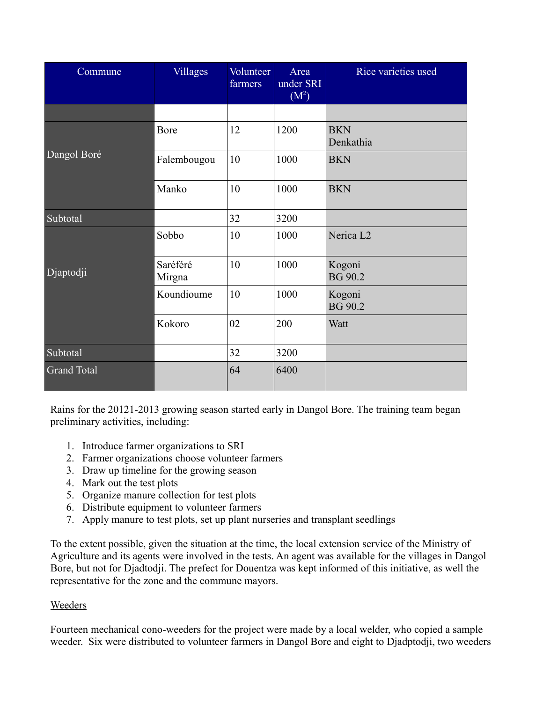| Commune            | <b>Villages</b>    | Volunteer<br>farmers | Area<br>under SRI<br>$\overline{(\mathbf{M}^2)}$ | Rice varieties used      |
|--------------------|--------------------|----------------------|--------------------------------------------------|--------------------------|
|                    |                    |                      |                                                  |                          |
| Dangol Boré        | Bore               | 12                   | 1200                                             | <b>BKN</b><br>Denkathia  |
|                    | Falembougou        | 10                   | 1000                                             | <b>BKN</b>               |
|                    | Manko              | 10                   | 1000                                             | <b>BKN</b>               |
| Subtotal           |                    | 32                   | 3200                                             |                          |
| Djaptodji          | Sobbo              | 10                   | 1000                                             | Nerica L2                |
|                    | Saréféré<br>Mirgna | 10                   | 1000                                             | Kogoni<br><b>BG 90.2</b> |
|                    | Koundioume         | 10                   | 1000                                             | Kogoni<br>BG 90.2        |
|                    | Kokoro             | 02                   | 200                                              | Watt                     |
| Subtotal           |                    | 32                   | 3200                                             |                          |
| <b>Grand Total</b> |                    | 64                   | 6400                                             |                          |

Rains for the 20121-2013 growing season started early in Dangol Bore. The training team began preliminary activities, including:

- 1. Introduce farmer organizations to SRI
- 2. Farmer organizations choose volunteer farmers
- 3. Draw up timeline for the growing season
- 4. Mark out the test plots
- 5. Organize manure collection for test plots
- 6. Distribute equipment to volunteer farmers
- 7. Apply manure to test plots, set up plant nurseries and transplant seedlings

To the extent possible, given the situation at the time, the local extension service of the Ministry of Agriculture and its agents were involved in the tests. An agent was available for the villages in Dangol Bore, but not for Djadtodji. The prefect for Douentza was kept informed of this initiative, as well the representative for the zone and the commune mayors.

## Weeders

Fourteen mechanical cono-weeders for the project were made by a local welder, who copied a sample weeder. Six were distributed to volunteer farmers in Dangol Bore and eight to Djadptodji, two weeders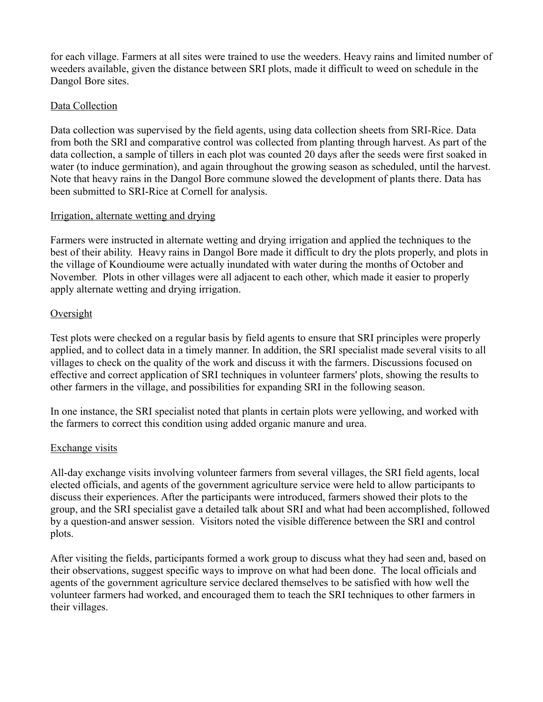for each village. Farmers at all sites were trained to use the weeders. Heavy rains and limited number of weeders available, given the distance between SRI plots, made it difficult to weed on schedule in the Dangol Bore sites.

## Data Collection

Data collection was supervised by the field agents, using data collection sheets from SRI-Rice. Data from both the SRI and comparative control was collected from planting through harvest. As part of the data collection, a sample of tillers in each plot was counted 20 days after the seeds were first soaked in water (to induce germination), and again throughout the growing season as scheduled, until the harvest. Note that heavy rains in the Dangol Bore commune slowed the development of plants there. Data has been submitted to SRI-Rice at Cornell for analysis.

#### Irrigation, alternate wetting and drying

Farmers were instructed in alternate wetting and drying irrigation and applied the techniques to the best of their ability. Heavy rains in Dangol Bore made it difficult to dry the plots properly, and plots in the village of Koundioume were actually inundated with water during the months of October and November. Plots in other villages were all adjacent to each other, which made it easier to properly apply alternate wetting and drying irrigation.

## Oversight

Test plots were checked on a regular basis by field agents to ensure that SRI principles were properly applied, and to collect data in a timely manner. In addition, the SRI specialist made several visits to all villages to check on the quality of the work and discuss it with the farmers. Discussions focused on effective and correct application of SRI techniques in volunteer farmers' plots, showing the results to other farmers in the village, and possibilities for expanding SRI in the following season.

In one instance, the SRI specialist noted that plants in certain plots were yellowing, and worked with the farmers to correct this condition using added organic manure and urea.

## Exchange visits

All-day exchange visits involving volunteer farmers from several villages, the SRI field agents, local elected officials, and agents of the government agriculture service were held to allow participants to discuss their experiences. After the participants were introduced, farmers showed their plots to the group, and the SRI specialist gave a detailed talk about SRI and what had been accomplished, followed by a question-and answer session. Visitors noted the visible difference between the SRI and control plots.

After visiting the fields, participants formed a work group to discuss what they had seen and, based on their observations, suggest specific ways to improve on what had been done. The local officials and agents of the government agriculture service declared themselves to be satisfied with how well the volunteer farmers had worked, and encouraged them to teach the SRI techniques to other farmers in their villages.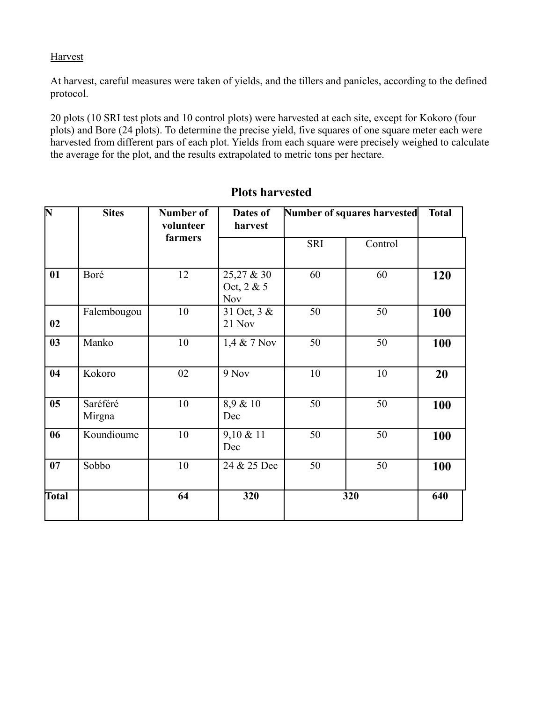# **Harvest**

At harvest, careful measures were taken of yields, and the tillers and panicles, according to the defined protocol.

20 plots (10 SRI test plots and 10 control plots) were harvested at each site, except for Kokoro (four plots) and Bore (24 plots). To determine the precise yield, five squares of one square meter each were harvested from different pars of each plot. Yields from each square were precisely weighed to calculate the average for the plot, and the results extrapolated to metric tons per hectare.

| $\overline{\mathbf{N}}$ | <b>Sites</b>       | <b>Number of</b><br>volunteer<br>farmers | Dates of<br>harvest                    | Number of squares harvested |         | <b>Total</b> |
|-------------------------|--------------------|------------------------------------------|----------------------------------------|-----------------------------|---------|--------------|
|                         |                    |                                          |                                        | <b>SRI</b>                  | Control |              |
| 01                      | Boré               | 12                                       | 25,27 & 30<br>Oct, 2 & 5<br><b>Nov</b> | 60                          | 60      | 120          |
| 02                      | Falembougou        | 10                                       | 31 Oct, 3 &<br>21 Nov                  | 50                          | 50      | 100          |
| 03                      | Manko              | 10                                       | 1,4 & 7 Nov                            | 50                          | 50      | 100          |
| 04                      | Kokoro             | 02                                       | 9 Nov                                  | 10                          | 10      | 20           |
| 05                      | Saréféré<br>Mirgna | 10                                       | 8,9 & 10<br>Dec                        | 50                          | 50      | 100          |
| 06                      | Koundioume         | 10                                       | 9,10 & 11<br>Dec                       | 50                          | 50      | 100          |
| 07                      | Sobbo              | 10                                       | 24 & 25 Dec                            | 50                          | 50      | 100          |
| Total                   |                    | 64                                       | 320                                    |                             | 320     | 640          |

# **Plots harvested**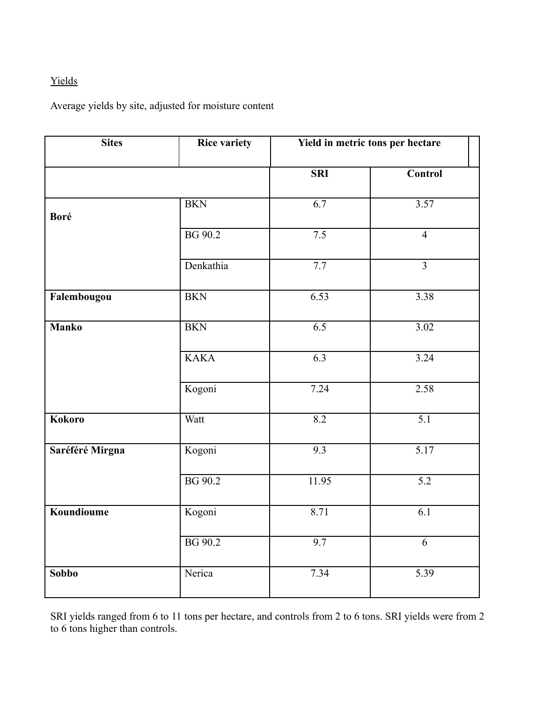# Yields

Average yields by site, adjusted for moisture content

| <b>Sites</b>    | <b>Rice variety</b> | Yield in metric tons per hectare |                  |
|-----------------|---------------------|----------------------------------|------------------|
|                 |                     | <b>SRI</b>                       | <b>Control</b>   |
| Boré            | <b>BKN</b>          | $\overline{6.7}$                 | 3.57             |
|                 | BG 90.2             | $\overline{7.5}$                 | $\overline{4}$   |
|                 | Denkathia           | 7.7                              | $\overline{3}$   |
| Falembougou     | <b>BKN</b>          | 6.53                             | 3.38             |
| <b>Manko</b>    | <b>BKN</b>          | 6.5                              | 3.02             |
|                 | <b>KAKA</b>         | 6.3                              | 3.24             |
|                 | Kogoni              | 7.24                             | 2.58             |
| <b>Kokoro</b>   | Watt                | 8.2                              | $\overline{5.1}$ |
| Saréféré Mirgna | Kogoni              | 9.3                              | 5.17             |
|                 | BG 90.2             | 11.95                            | $\overline{5.2}$ |
| Koundioume      | Kogoni              | 8.71                             | $\overline{6.1}$ |
|                 | <b>BG</b> 90.2      | 9.7                              | 6                |
| <b>Sobbo</b>    | Nerica              | 7.34                             | 5.39             |

SRI yields ranged from 6 to 11 tons per hectare, and controls from 2 to 6 tons. SRI yields were from 2 to 6 tons higher than controls.